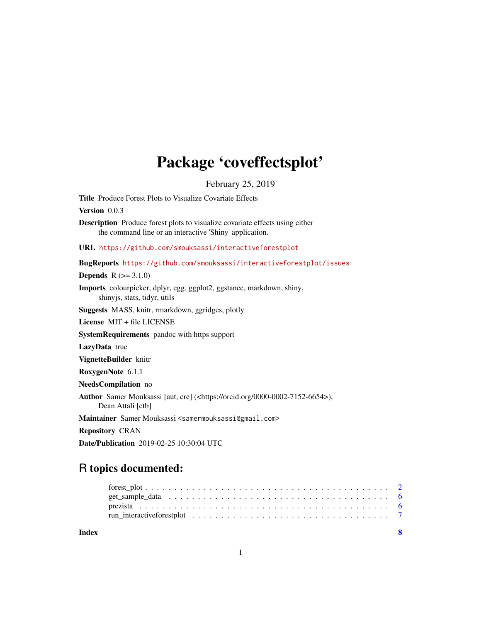## Package 'coveffectsplot'

February 25, 2019

Title Produce Forest Plots to Visualize Covariate Effects

Version 0.0.3

Description Produce forest plots to visualize covariate effects using either the command line or an interactive 'Shiny' application.

URL <https://github.com/smouksassi/interactiveforestplot>

BugReports <https://github.com/smouksassi/interactiveforestplot/issues>

**Depends**  $R (=3.1.0)$ 

Imports colourpicker, dplyr, egg, ggplot2, ggstance, markdown, shiny, shinyjs, stats, tidyr, utils

Suggests MASS, knitr, rmarkdown, ggridges, plotly

License MIT + file LICENSE

SystemRequirements pandoc with https support

LazyData true

VignetteBuilder knitr

RoxygenNote 6.1.1

NeedsCompilation no

Author Samer Mouksassi [aut, cre] (<https://orcid.org/0000-0002-7152-6654>), Dean Attali [ctb]

Maintainer Samer Mouksassi <samermouksassi@gmail.com>

Repository CRAN

Date/Publication 2019-02-25 10:30:04 UTC

## R topics documented: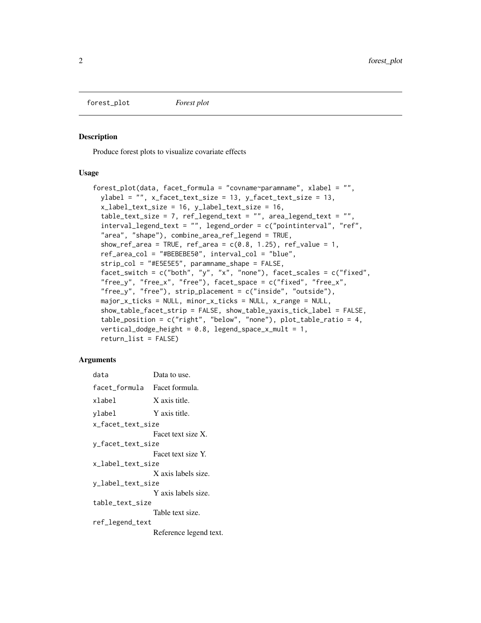<span id="page-1-0"></span>forest\_plot *Forest plot*

#### Description

Produce forest plots to visualize covariate effects

#### Usage

```
forest_plot(data, facet_formula = "covname~paramname", xlabel = "",
 ylabel = "", x_facet_text_size = 13, y_facet_text_size = 13,
  x_label_text_size = 16, y_label_text_size = 16,
  table_text_size = 7, ref_legend_text = "", area_legend_text = "",
 interval_legend_text = "", legend_order = c("pointinterval", "ref",
  "area", "shape"), combine_area_ref_legend = TRUE,
  show_ref_area = TRUE, ref_area = c(0.8, 1.25), ref_value = 1,
  ref_area_col = "#BEBEBE50", interval_col = "blue",
  strip_col = "#E5E5E5", paramname_shape = FALSE,
  facet_switch = c("both", "y", "x", "none"), facet_scales = c("fixed",
 "free_y", "free_x", "free"), facet_space = c("fixed", "free_x",
  "free_y", "free"), strip\_placement = c("inside", "outside"),major_x_ticks = NULL, minor_x_ticks = NULL, x_range = NULL,
  show_table_facet_strip = FALSE, show_table_yaxis_tick_label = FALSE,
  table_position = c("right", "below", "none"), plot_table_ratio = 4,
  vertical_dodge_height = 0.8, legend_space_x_mult = 1,
  return_list = FALSE)
```
#### Arguments

| data                         | Data to use.           |
|------------------------------|------------------------|
| facet_formula Facet formula. |                        |
| xlabel                       | X axis title.          |
| ylabel                       | Y axis title.          |
| x_facet_text_size            |                        |
|                              | Facet text size X.     |
| y_facet_text_size            |                        |
|                              | Facet text size Y.     |
| x_label_text_size            |                        |
|                              | X axis labels size.    |
| y_label_text_size            |                        |
|                              | Y axis labels size.    |
| table_text_size              |                        |
|                              | Table text size.       |
| ref_legend_text              |                        |
|                              | Reference legend text. |
|                              |                        |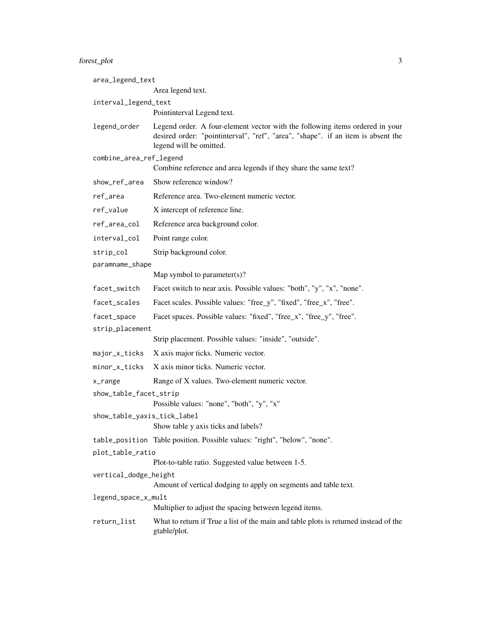### forest\_plot 3

| area_legend_text            |                                                                                                                                                                                             |
|-----------------------------|---------------------------------------------------------------------------------------------------------------------------------------------------------------------------------------------|
|                             | Area legend text.                                                                                                                                                                           |
| interval_legend_text        | Pointinterval Legend text.                                                                                                                                                                  |
| legend_order                | Legend order. A four-element vector with the following items ordered in your<br>desired order: "pointinterval", "ref", "area", "shape". if an item is absent the<br>legend will be omitted. |
| combine_area_ref_legend     | Combine reference and area legends if they share the same text?                                                                                                                             |
| show_ref_area               | Show reference window?                                                                                                                                                                      |
| ref_area                    | Reference area. Two-element numeric vector.                                                                                                                                                 |
| ref_value                   | X intercept of reference line.                                                                                                                                                              |
| ref_area_col                | Reference area background color.                                                                                                                                                            |
| interval_col                | Point range color.                                                                                                                                                                          |
| strip_col                   | Strip background color.                                                                                                                                                                     |
| paramname_shape             |                                                                                                                                                                                             |
|                             | Map symbol to parameter(s)?                                                                                                                                                                 |
| facet_switch                | Facet switch to near axis. Possible values: "both", "y", "x", "none".                                                                                                                       |
| facet_scales                | Facet scales. Possible values: "free_y", "fixed", "free_x", "free".                                                                                                                         |
| facet_space                 | Facet spaces. Possible values: "fixed", "free_x", "free_y", "free".                                                                                                                         |
| strip_placement             |                                                                                                                                                                                             |
|                             | Strip placement. Possible values: "inside", "outside".                                                                                                                                      |
| major_x_ticks               | X axis major ticks. Numeric vector.                                                                                                                                                         |
| minor_x_ticks               | X axis minor ticks. Numeric vector.                                                                                                                                                         |
| x_range                     | Range of X values. Two-element numeric vector.                                                                                                                                              |
| show_table_facet_strip      | Possible values: "none", "both", "y", "x"                                                                                                                                                   |
| show_table_yaxis_tick_label | Show table y axis ticks and labels?                                                                                                                                                         |
|                             | table_position Table position. Possible values: "right", "below", "none".                                                                                                                   |
| plot_table_ratio            |                                                                                                                                                                                             |
|                             | Plot-to-table ratio. Suggested value between 1-5.                                                                                                                                           |
| vertical_dodge_height       | Amount of vertical dodging to apply on segments and table text.                                                                                                                             |
| legend_space_x_mult         |                                                                                                                                                                                             |
|                             | Multiplier to adjust the spacing between legend items.                                                                                                                                      |
| return_list                 | What to return if True a list of the main and table plots is returned instead of the<br>gtable/plot.                                                                                        |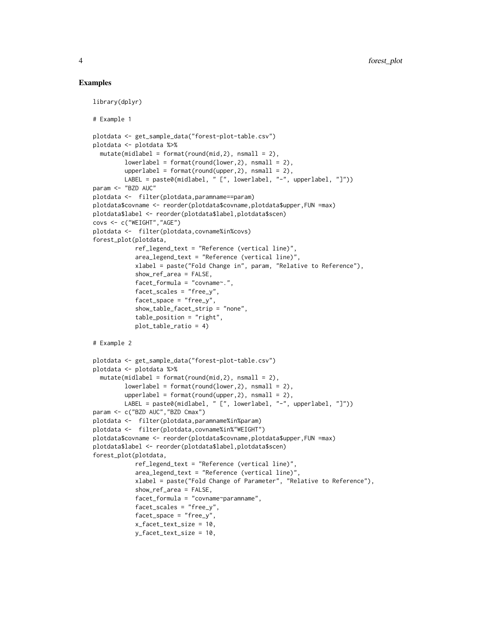#### Examples

```
library(dplyr)
# Example 1
plotdata <- get_sample_data("forest-plot-table.csv")
plotdata <- plotdata %>%
  mutate(middle1 = format(round(mid, 2), nsmall = 2),lowerlabel = format(rownd(lower,2), nsmall = 2),upperlabel = format(rownd(upper,2), nsmall = 2),LABEL = paste0(midlabel, " [", lowerlabel, "-", upperlabel, "]"))
param <- "BZD AUC"
plotdata <- filter(plotdata,paramname==param)
plotdata$covname <- reorder(plotdata$covname,plotdata$upper,FUN =max)
plotdata$label <- reorder(plotdata$label,plotdata$scen)
covs <- c("WEIGHT","AGE")
plotdata <- filter(plotdata,covname%in%covs)
forest_plot(plotdata,
            ref_legend_text = "Reference (vertical line)",
            area_legend_text = "Reference (vertical line)",
            xlabel = paste("Fold Change in", param, "Relative to Reference"),
            show_ref_area = FALSE,
            facet_formula = "covname~.",
            facet_scales = "free_y",
            facet_space = "free_y",
            show_table_facet_strip = "none",
            table_position = "right",
            plot_table_ratio = 4)
# Example 2
plotdata <- get_sample_data("forest-plot-table.csv")
plotdata <- plotdata %>%
  mutate(middle1 = format(round(mid, 2), nsmall = 2),lowerlabel = format(round(lower,2), nsmall = 2),
         upperlabel = format(rownd(upper,2), nsmall = 2),LABEL = paste0(midlabel, " [", lowerlabel, "-", upperlabel, "]"))
param <- c("BZD AUC","BZD Cmax")
plotdata <- filter(plotdata,paramname%in%param)
plotdata <- filter(plotdata,covname%in%"WEIGHT")
plotdata$covname <- reorder(plotdata$covname,plotdata$upper,FUN =max)
plotdata$label <- reorder(plotdata$label,plotdata$scen)
forest_plot(plotdata,
            ref_legend_text = "Reference (vertical line)",
            area_legend_text = "Reference (vertical line)"
            xlabel = paste("Fold Change of Parameter", "Relative to Reference"),
            show_ref_area = FALSE,
            facet_formula = "covname~paramname",
            facet_scales = "free_y",
            facet_space = "free_y",
            x_facet_text_size = 10,
            y_facet_text_size = 10,
```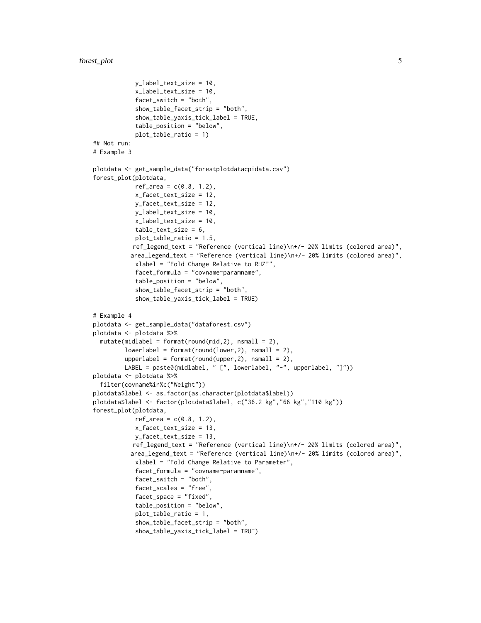```
y_label_text_size = 10,
            x_label_text_size = 10,
            facet_switch = "both",
            show_table_facet_strip = "both",
            show_table_yaxis_tick_label = TRUE,
            table_position = "below",
            plot_table_ratio = 1)
## Not run:
# Example 3
plotdata <- get_sample_data("forestplotdatacpidata.csv")
forest_plot(plotdata,
            ref\_area = c(0.8, 1.2),
            x_facet_text_size = 12,
            y_facet_text_size = 12,
            y_label_text_size = 10,
            x_label_text_size = 10,
            table_text_size = 6,
            plot_table_ratio = 1.5,
           ref_legend_text = "Reference (vertical line)\n+/- 20% limits (colored area)",
          area_legend_text = "Reference (vertical line)\n+/- 20% limits (colored area)",
            xlabel = "Fold Change Relative to RHZE",
            facet_formula = "covname~paramname",
            table_position = "below",
            show_table_facet_strip = "both",
            show_table_yaxis_tick_label = TRUE)
# Example 4
plotdata <- get_sample_data("dataforest.csv")
plotdata <- plotdata %>%
 mutate(middle1 = format(round(mid, 2), nsmall = 2),lowerlabel = format(rownd(lower,2), nsmall = 2),upperlabel = format(rownd(upper,2), nsmall = 2),LABEL = paste0(midlabel, " [", lowerlabel, "-", upperlabel, "]"))
plotdata <- plotdata %>%
  filter(covname%in%c("Weight"))
plotdata$label <- as.factor(as.character(plotdata$label))
plotdata$label <- factor(plotdata$label, c("36.2 kg","66 kg","110 kg"))
forest_plot(plotdata,
            ref\_area = c(0.8, 1.2),
            x_facet_text_size = 13,
            y_facet_text_size = 13,
           ref_legend_text = "Reference (vertical line)\n+/- 20% limits (colored area)",
          area_legend_text = "Reference (vertical line)\n+/- 20% limits (colored area)",
            xlabel = "Fold Change Relative to Parameter",
            facet_formula = "covname~paramname",
            facet_switch = "both",
            facet_scales = "free",
            facet_space = "fixed",
            table_position = "below",
            plot_table_ratio = 1,
            show_table_facet_strip = "both",
            show_table_yaxis_tick_label = TRUE)
```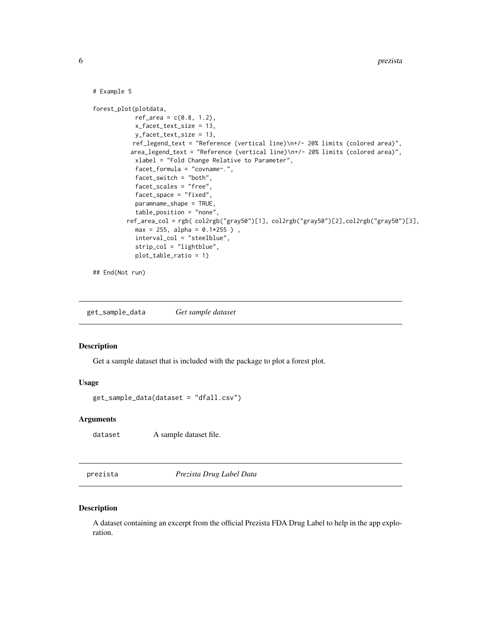```
# Example 5
forest_plot(plotdata,
            ref\_area = c(0.8, 1.2),
            x_facet_text_size = 13,
           y_facet_text_size = 13,
           ref_legend_text = "Reference (vertical line)\n+/- 20% limits (colored area)",
          area_legend_text = "Reference (vertical line)\n+/- 20% limits (colored area)",
            xlabel = "Fold Change Relative to Parameter",
            facet_formula = "covname~.",
            facet_switch = "both",
            facet_scales = "free",
            facet_space = "fixed",
            paramname_shape = TRUE,
            table_position = "none",
         ref_area_col = rgb( col2rgb("gray50")[1], col2rgb("gray50")[2],col2rgb("gray50")[3],
            max = 255, alpha = 0.1*255),
            interval_col = "steelblue",
            strip_col = "lightblue",
            plot_table_ratio = 1)
## End(Not run)
```
get\_sample\_data *Get sample dataset*

#### Description

Get a sample dataset that is included with the package to plot a forest plot.

#### Usage

get\_sample\_data(dataset = "dfall.csv")

#### Arguments

dataset A sample dataset file.

prezista *Prezista Drug Label Data*

#### Description

A dataset containing an excerpt from the official Prezista FDA Drug Label to help in the app exploration.

<span id="page-5-0"></span>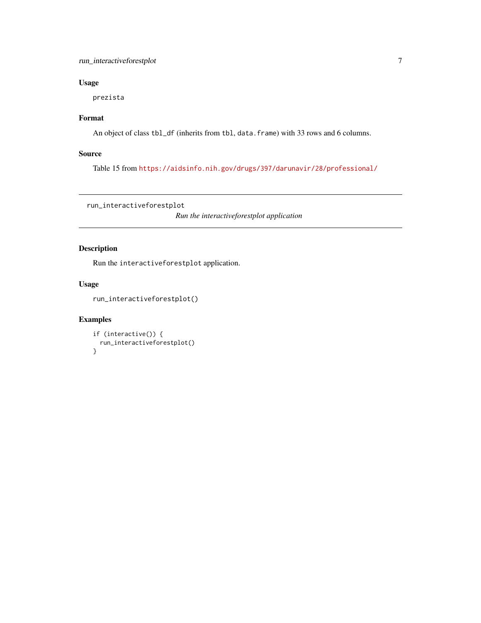#### <span id="page-6-0"></span>run\_interactiveforestplot 7

#### Usage

prezista

#### Format

An object of class tbl\_df (inherits from tbl, data.frame) with 33 rows and 6 columns.

#### Source

Table 15 from <https://aidsinfo.nih.gov/drugs/397/darunavir/28/professional/>

run\_interactiveforestplot

*Run the interactiveforestplot application*

#### Description

Run the interactiveforestplot application.

#### Usage

run\_interactiveforestplot()

#### Examples

```
if (interactive()) {
  run_interactiveforestplot()
}
```